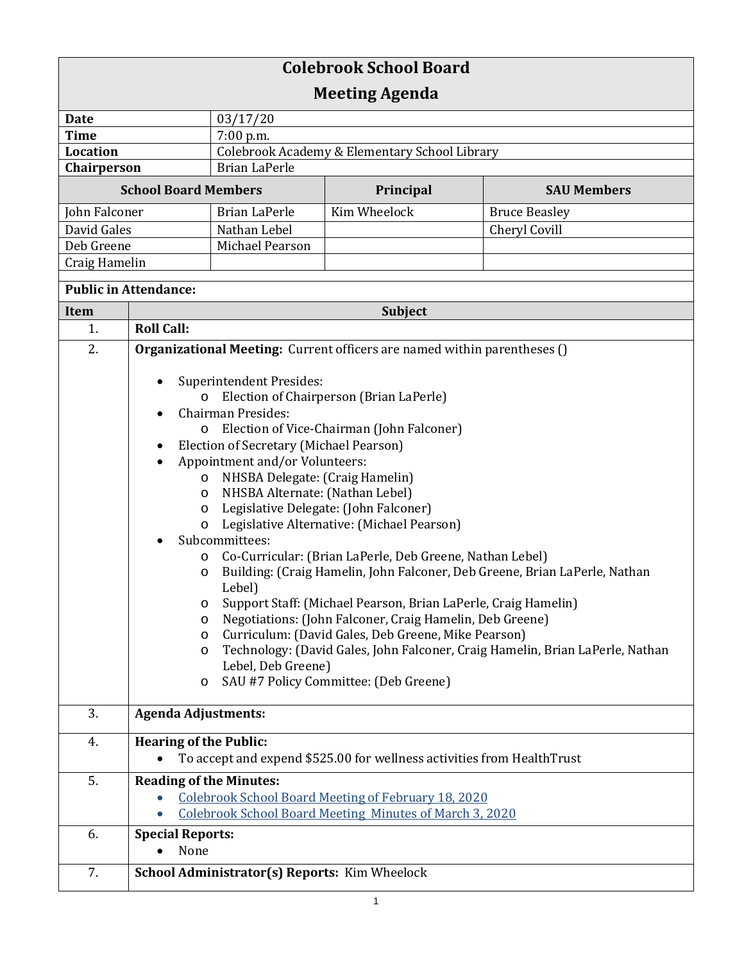| <b>Colebrook School Board</b><br><b>Meeting Agenda</b> |                                                                          |                                                                       |                                                                        |                                                                               |  |
|--------------------------------------------------------|--------------------------------------------------------------------------|-----------------------------------------------------------------------|------------------------------------------------------------------------|-------------------------------------------------------------------------------|--|
|                                                        |                                                                          |                                                                       |                                                                        |                                                                               |  |
| Date                                                   |                                                                          | 03/17/20                                                              |                                                                        |                                                                               |  |
| <b>Time</b>                                            |                                                                          | $7:00$ p.m.                                                           |                                                                        |                                                                               |  |
| <b>Location</b><br>Chairperson                         |                                                                          | Colebrook Academy & Elementary School Library<br><b>Brian LaPerle</b> |                                                                        |                                                                               |  |
|                                                        |                                                                          |                                                                       |                                                                        |                                                                               |  |
| <b>School Board Members</b>                            |                                                                          |                                                                       | Principal                                                              | <b>SAU Members</b>                                                            |  |
| John Falconer                                          |                                                                          | <b>Brian LaPerle</b>                                                  | Kim Wheelock                                                           | <b>Bruce Beasley</b>                                                          |  |
| David Gales                                            |                                                                          | Nathan Lebel                                                          |                                                                        | Cheryl Covill                                                                 |  |
| Deb Greene                                             |                                                                          | Michael Pearson                                                       |                                                                        |                                                                               |  |
| Craig Hamelin                                          |                                                                          |                                                                       |                                                                        |                                                                               |  |
| <b>Public in Attendance:</b>                           |                                                                          |                                                                       |                                                                        |                                                                               |  |
| <b>Item</b>                                            | <b>Subject</b>                                                           |                                                                       |                                                                        |                                                                               |  |
| 1.                                                     | <b>Roll Call:</b>                                                        |                                                                       |                                                                        |                                                                               |  |
| 2.                                                     |                                                                          |                                                                       |                                                                        |                                                                               |  |
|                                                        | Organizational Meeting: Current officers are named within parentheses () |                                                                       |                                                                        |                                                                               |  |
|                                                        | <b>Superintendent Presides:</b>                                          |                                                                       |                                                                        |                                                                               |  |
|                                                        | Election of Chairperson (Brian LaPerle)<br>$\circ$                       |                                                                       |                                                                        |                                                                               |  |
|                                                        |                                                                          | <b>Chairman Presides:</b>                                             |                                                                        |                                                                               |  |
|                                                        | O                                                                        |                                                                       | Election of Vice-Chairman (John Falconer)                              |                                                                               |  |
|                                                        |                                                                          | Election of Secretary (Michael Pearson)                               |                                                                        |                                                                               |  |
|                                                        | $\bullet$                                                                | Appointment and/or Volunteers:                                        |                                                                        |                                                                               |  |
|                                                        | O                                                                        | NHSBA Delegate: (Craig Hamelin)                                       |                                                                        |                                                                               |  |
|                                                        | O                                                                        | NHSBA Alternate: (Nathan Lebel)                                       |                                                                        |                                                                               |  |
|                                                        | O                                                                        | Legislative Delegate: (John Falconer)                                 |                                                                        |                                                                               |  |
|                                                        | O                                                                        |                                                                       | Legislative Alternative: (Michael Pearson)                             |                                                                               |  |
|                                                        |                                                                          | Subcommittees:                                                        |                                                                        |                                                                               |  |
|                                                        | O                                                                        |                                                                       | Co-Curricular: (Brian LaPerle, Deb Greene, Nathan Lebel)               | Building: (Craig Hamelin, John Falconer, Deb Greene, Brian LaPerle, Nathan    |  |
|                                                        | O                                                                        | Lebel)                                                                |                                                                        |                                                                               |  |
|                                                        | O                                                                        |                                                                       | Support Staff: (Michael Pearson, Brian LaPerle, Craig Hamelin)         |                                                                               |  |
|                                                        | O                                                                        |                                                                       | Negotiations: (John Falconer, Craig Hamelin, Deb Greene)               |                                                                               |  |
|                                                        | Curriculum: (David Gales, Deb Greene, Mike Pearson)<br>$\circ$           |                                                                       |                                                                        |                                                                               |  |
|                                                        | O                                                                        |                                                                       |                                                                        | Technology: (David Gales, John Falconer, Craig Hamelin, Brian LaPerle, Nathan |  |
|                                                        |                                                                          | Lebel, Deb Greene)                                                    |                                                                        |                                                                               |  |
|                                                        | $\circ$                                                                  |                                                                       | SAU #7 Policy Committee: (Deb Greene)                                  |                                                                               |  |
| 3.                                                     |                                                                          |                                                                       |                                                                        |                                                                               |  |
|                                                        |                                                                          | <b>Agenda Adjustments:</b>                                            |                                                                        |                                                                               |  |
| 4.                                                     | <b>Hearing of the Public:</b>                                            |                                                                       |                                                                        |                                                                               |  |
|                                                        |                                                                          |                                                                       | To accept and expend \$525.00 for wellness activities from HealthTrust |                                                                               |  |
| 5.                                                     | <b>Reading of the Minutes:</b>                                           |                                                                       |                                                                        |                                                                               |  |
|                                                        | Colebrook School Board Meeting of February 18, 2020                      |                                                                       |                                                                        |                                                                               |  |
|                                                        |                                                                          |                                                                       | <b>Colebrook School Board Meeting Minutes of March 3, 2020</b>         |                                                                               |  |
| 6.                                                     | <b>Special Reports:</b>                                                  |                                                                       |                                                                        |                                                                               |  |
|                                                        | None                                                                     |                                                                       |                                                                        |                                                                               |  |
| 7.                                                     |                                                                          | School Administrator(s) Reports: Kim Wheelock                         |                                                                        |                                                                               |  |